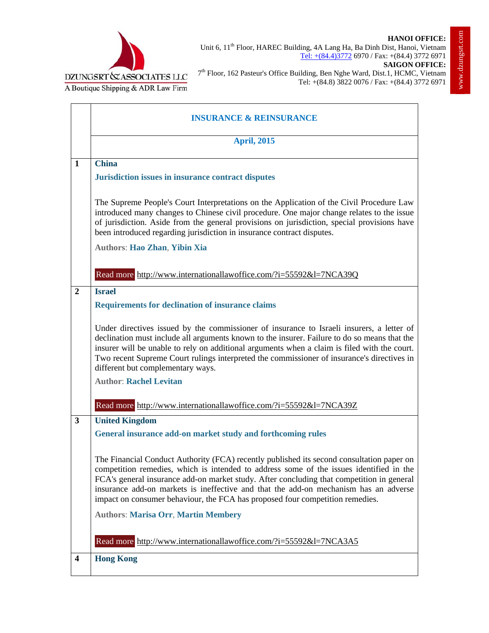



Unit 6, 11<sup>th</sup> Floor, HAREC Building, 4A Lang Ha, Ba Dinh Dist, Hanoi, Vietnam Tel: +(84.4)3772 6970 / Fax: +(84.4) 3772 6971 **SAIGON OFFICE:** 7<sup>th</sup> Floor, 162 Pasteur's Office Building, Ben Nghe Ward, Dist.1, HCMC, Vietnam Tel: +(84.8) 3822 0076 / Fax: +(84.4) 3772 6971

|                         | <b>INSURANCE &amp; REINSURANCE</b>                                                                                                                                                                                                                                                                                                                                                                                                                         |
|-------------------------|------------------------------------------------------------------------------------------------------------------------------------------------------------------------------------------------------------------------------------------------------------------------------------------------------------------------------------------------------------------------------------------------------------------------------------------------------------|
|                         | <b>April, 2015</b>                                                                                                                                                                                                                                                                                                                                                                                                                                         |
| $\mathbf{1}$            | <b>China</b><br>Jurisdiction issues in insurance contract disputes                                                                                                                                                                                                                                                                                                                                                                                         |
|                         | The Supreme People's Court Interpretations on the Application of the Civil Procedure Law<br>introduced many changes to Chinese civil procedure. One major change relates to the issue<br>of jurisdiction. Aside from the general provisions on jurisdiction, special provisions have<br>been introduced regarding jurisdiction in insurance contract disputes.                                                                                             |
|                         | <b>Authors: Hao Zhan, Yibin Xia</b>                                                                                                                                                                                                                                                                                                                                                                                                                        |
|                         | Read more http://www.internationallawoffice.com/?i=55592&l=7NCA39Q                                                                                                                                                                                                                                                                                                                                                                                         |
| $\overline{2}$          | <b>Israel</b><br><b>Requirements for declination of insurance claims</b>                                                                                                                                                                                                                                                                                                                                                                                   |
|                         | Under directives issued by the commissioner of insurance to Israeli insurers, a letter of<br>declination must include all arguments known to the insurer. Failure to do so means that the<br>insurer will be unable to rely on additional arguments when a claim is filed with the court.<br>Two recent Supreme Court rulings interpreted the commissioner of insurance's directives in<br>different but complementary ways.                               |
|                         | <b>Author: Rachel Levitan</b>                                                                                                                                                                                                                                                                                                                                                                                                                              |
|                         | Read more http://www.internationallawoffice.com/?i=55592&l=7NCA39Z                                                                                                                                                                                                                                                                                                                                                                                         |
| $\mathbf{3}$            | <b>United Kingdom</b><br>General insurance add-on market study and forthcoming rules                                                                                                                                                                                                                                                                                                                                                                       |
|                         | The Financial Conduct Authority (FCA) recently published its second consultation paper on<br>competition remedies, which is intended to address some of the issues identified in the<br>FCA's general insurance add-on market study. After concluding that competition in general<br>insurance add-on markets is ineffective and that the add-on mechanism has an adverse<br>impact on consumer behaviour, the FCA has proposed four competition remedies. |
|                         | <b>Authors: Marisa Orr, Martin Membery</b>                                                                                                                                                                                                                                                                                                                                                                                                                 |
|                         | Read more http://www.internationallawoffice.com/?i=55592&l=7NCA3A5                                                                                                                                                                                                                                                                                                                                                                                         |
| $\overline{\mathbf{4}}$ | <b>Hong Kong</b>                                                                                                                                                                                                                                                                                                                                                                                                                                           |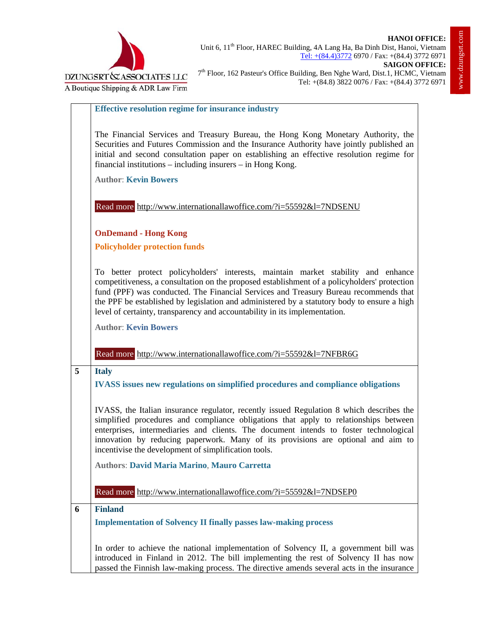



## **Effective resolution regime for insurance industry**

The Financial Services and Treasury Bureau, the Hong Kong Monetary Authority, the Securities and Futures Commission and the Insurance Authority have jointly published an initial and second consultation paper on establishing an effective resolution regime for financial institutions – including insurers – in Hong Kong.

**Author**: **Kevin Bowers**

Read more http://www.internationallawoffice.com/?i=55592&l=7NDSENU

**OnDemand - Hong Kong** 

**Policyholder protection funds** 

To better protect policyholders' interests, maintain market stability and enhance competitiveness, a consultation on the proposed establishment of a policyholders' protection fund (PPF) was conducted. The Financial Services and Treasury Bureau recommends that the PPF be established by legislation and administered by a statutory body to ensure a high level of certainty, transparency and accountability in its implementation.

**Author**: **Kevin Bowers**

Read more http://www.internationallawoffice.com/?i=55592&l=7NFBR6G

## **5 Italy**

**IVASS issues new regulations on simplified procedures and compliance obligations**

IVASS, the Italian insurance regulator, recently issued Regulation 8 which describes the simplified procedures and compliance obligations that apply to relationships between enterprises, intermediaries and clients. The document intends to foster technological innovation by reducing paperwork. Many of its provisions are optional and aim to incentivise the development of simplification tools.

**Authors**: **David Maria Marino**, **Mauro Carretta**

Read more http://www.internationallawoffice.com/?i=55592&l=7NDSEP0

## **6 Finland**

**Implementation of Solvency II finally passes law-making process**

In order to achieve the national implementation of Solvency II, a government bill was introduced in Finland in 2012. The bill implementing the rest of Solvency II has now passed the Finnish law-making process. The directive amends several acts in the insurance